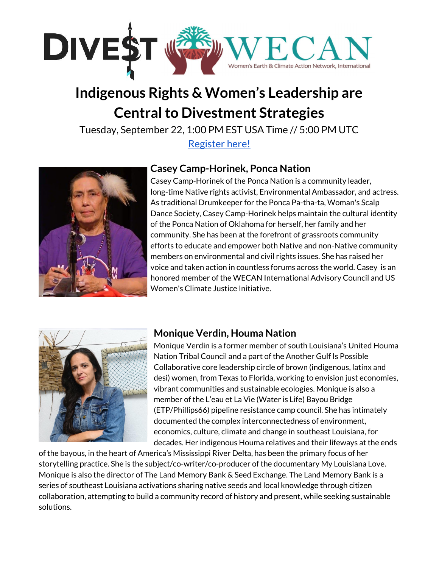

# **Indigenous Rights & Women's Leadership are Central to Divestment Strategies**

Tuesday, September 22, 1:00 PM EST USA Time // 5:00 PM UTC [Register](https://us02web.zoom.us/webinar/register/2015996599722/WN_TbIm23wcQEyUd1y8mP_J8Q) here!



### **Casey Camp-Horinek, Ponca Nation**

Casey Camp-Horinek of the Ponca Nation is a community leader, long-time Native rights activist, Environmental Ambassador, and actress. As traditional Drumkeeper for the Ponca Pa-tha-ta, Woman's Scalp Dance Society, Casey Camp-Horinek helps maintain the cultural identity of the Ponca Nation of Oklahoma for herself, her family and her community. She has been at the forefront of grassroots community efforts to educate and empower both Native and non-Native community members on environmental and civil rights issues. She has raised her voice and taken action in countless forums across the world. Casey is an honored member of the WECAN International Advisory Council and US Women's Climate Justice Initiative.



# **Monique Verdin, Houma Nation**

Monique Verdin is a former member of south Louisiana's United Houma Nation Tribal Council and a part of the Another Gulf Is Possible Collaborative core leadership circle of brown (indigenous, latinx and desi) women, from Texas to Florida, working to envision just economies, vibrant communities and sustainable ecologies. Monique is also a member of the L'eau et La Vie (Water is Life) Bayou Bridge (ETP/Phillips66) pipeline resistance camp council. She has intimately documented the complex interconnectedness of environment, economics, culture, climate and change in southeast Louisiana, for decades. Her indigenous Houma relatives and their lifeways at the ends

of the bayous, in the heart of America's Mississippi River Delta, has been the primary focus of her storytelling practice. She is the subject/co-writer/co-producer of the documentary My Louisiana Love. Monique is also the director of The Land Memory Bank & Seed Exchange. The Land Memory Bank is a series of southeast Louisiana activations sharing native seeds and local knowledge through citizen collaboration, attempting to build a community record of history and present, while seeking sustainable solutions.